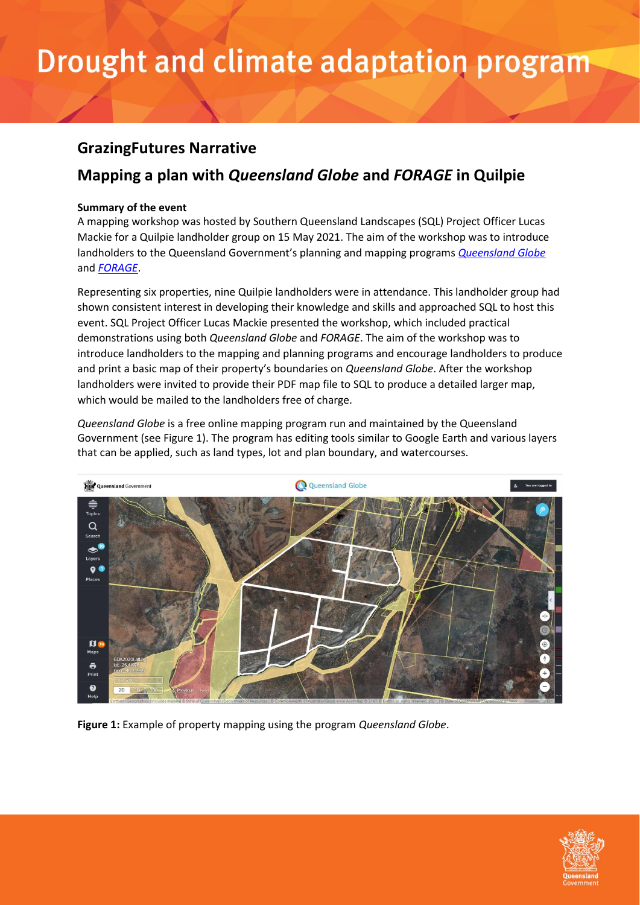#### **GrazingFutures Narrative**

### **Mapping a plan with** *Queensland Globe* **and** *FORAGE* **in Quilpie**

#### **Summary of the event**

A mapping workshop was hosted by Southern Queensland Landscapes (SQL) Project Officer Lucas Mackie for a Quilpie landholder group on 15 May 2021. The aim of the workshop was to introduce landholders to the Queensland Government's planning and mapping programs *[Queensland Globe](https://qldglobe.information.qld.gov.au/)* and *[FORAGE](https://www.longpaddock.qld.gov.au/forage/)*.

Representing six properties, nine Quilpie landholders were in attendance. This landholder group had shown consistent interest in developing their knowledge and skills and approached SQL to host this event. SQL Project Officer Lucas Mackie presented the workshop, which included practical demonstrations using both *Queensland Globe* and *FORAGE*. The aim of the workshop was to introduce landholders to the mapping and planning programs and encourage landholders to produce and print a basic map of their property's boundaries on *Queensland Globe*. After the workshop landholders were invited to provide their PDF map file to SQL to produce a detailed larger map, which would be mailed to the landholders free of charge.

*Queensland Globe* is a free online mapping program run and maintained by the Queensland Government (see Figure 1). The program has editing tools similar to Google Earth and various layers that can be applied, such as land types, lot and plan boundary, and watercourses.



**Figure 1:** Example of property mapping using the program *Queensland Globe*.

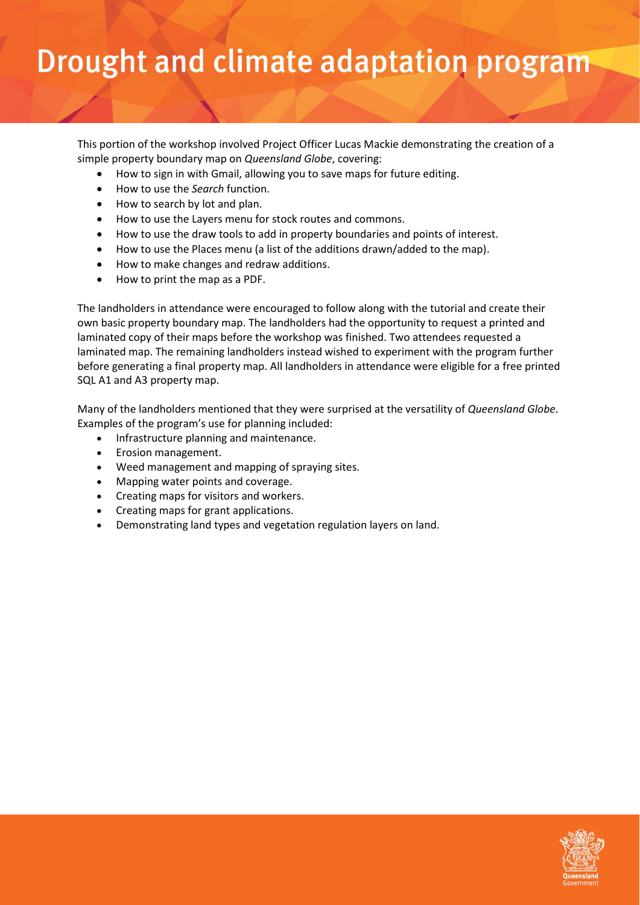This portion of the workshop involved Project Officer Lucas Mackie demonstrating the creation of a simple property boundary map on *Queensland Globe*, covering:

- How to sign in with Gmail, allowing you to save maps for future editing.
- How to use the *Search* function.
- How to search by lot and plan.
- How to use the Layers menu for stock routes and commons.
- How to use the draw tools to add in property boundaries and points of interest.
- How to use the Places menu (a list of the additions drawn/added to the map).
- How to make changes and redraw additions.
- How to print the map as a PDF.

The landholders in attendance were encouraged to follow along with the tutorial and create their own basic property boundary map. The landholders had the opportunity to request a printed and laminated copy of their maps before the workshop was finished. Two attendees requested a laminated map. The remaining landholders instead wished to experiment with the program further before generating a final property map. All landholders in attendance were eligible for a free printed SQL A1 and A3 property map.

Many of the landholders mentioned that they were surprised at the versatility of *Queensland Globe*. Examples of the program's use for planning included:

- Infrastructure planning and maintenance.
- Erosion management.
- Weed management and mapping of spraying sites.
- Mapping water points and coverage.
- Creating maps for visitors and workers.
- Creating maps for grant applications.
- Demonstrating land types and vegetation regulation layers on land.

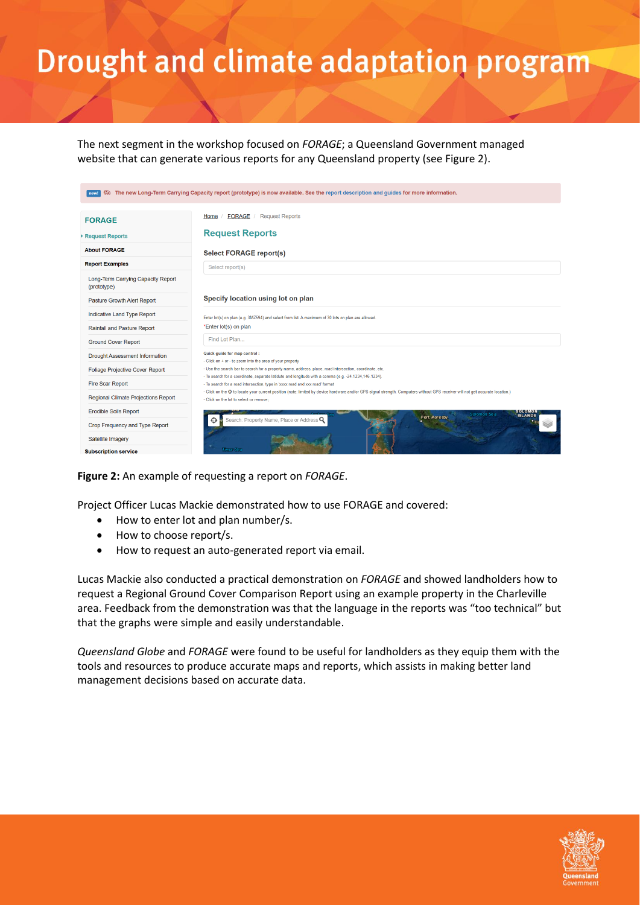The next segment in the workshop focused on *FORAGE*; a Queensland Government managed website that can generate various reports for any Queensland property (see Figure 2).

| The new Long-Term Carrying Capacity report (prototype) is now available. See the report description and guides for more information.<br>俪 |                                                                                                                                                                                                                                  |
|-------------------------------------------------------------------------------------------------------------------------------------------|----------------------------------------------------------------------------------------------------------------------------------------------------------------------------------------------------------------------------------|
| <b>FORAGE</b>                                                                                                                             | <b>FORAGE</b><br><b>Request Reports</b><br>Home                                                                                                                                                                                  |
| Request Reports                                                                                                                           | <b>Request Reports</b>                                                                                                                                                                                                           |
| <b>About FORAGE</b>                                                                                                                       | Select FORAGE report(s)                                                                                                                                                                                                          |
| <b>Report Examples</b>                                                                                                                    | Select report(s)                                                                                                                                                                                                                 |
| Long-Term Carrying Capacity Report<br>(prototype)                                                                                         |                                                                                                                                                                                                                                  |
| Pasture Growth Alert Report                                                                                                               | Specify location using lot on plan                                                                                                                                                                                               |
| Indicative Land Type Report                                                                                                               | Enter lot(s) on plan (e.g. 3MZ594) and select from list. A maximum of 30 lots on plan are allowed.                                                                                                                               |
| Rainfall and Pasture Report                                                                                                               | *Enter lot(s) on plan                                                                                                                                                                                                            |
| <b>Ground Cover Report</b>                                                                                                                | Find Lot Plan                                                                                                                                                                                                                    |
| Drought Assessment Information                                                                                                            | Quick guide for map control:                                                                                                                                                                                                     |
| Foliage Projective Cover Report                                                                                                           | - Click on + or - to zoom into the area of your property<br>- Use the search bar to search for a property name, address, place, road intersection, coordinate, etc.                                                              |
| <b>Fire Scar Report</b>                                                                                                                   | - To search for a coordinate, separate latidute and longitude with a comma (e.g. -24.1234,146.1234).<br>- To search for a road intersection, type in 'xxxx road and xxx road' format                                             |
| Regional Climate Projections Report                                                                                                       | - Click on the $\oplus$ to locate your current position (note: limited by device hardware and/or GPS signal strength. Computers without GPS receiver will not get accurate location.)<br>- Click on the lot to select or remove: |
| <b>Erodible Soils Report</b>                                                                                                              | <b>SOLOMON</b><br><b>Solomon Sea</b><br><b>ISLANDS</b>                                                                                                                                                                           |
| Crop Frequency and Type Report                                                                                                            | Port Moresby<br>Search: Property Name, Place or Address Q                                                                                                                                                                        |
| Satellite Imagery                                                                                                                         |                                                                                                                                                                                                                                  |
| <b>Subscription service</b>                                                                                                               | <b>Timor Sea</b>                                                                                                                                                                                                                 |

**Figure 2:** An example of requesting a report on *FORAGE*.

Project Officer Lucas Mackie demonstrated how to use FORAGE and covered:

- How to enter lot and plan number/s.
- How to choose report/s.
- How to request an auto-generated report via email.

Lucas Mackie also conducted a practical demonstration on *FORAGE* and showed landholders how to request a Regional Ground Cover Comparison Report using an example property in the Charleville area. Feedback from the demonstration was that the language in the reports was "too technical" but that the graphs were simple and easily understandable.

*Queensland Globe* and *FORAGE* were found to be useful for landholders as they equip them with the tools and resources to produce accurate maps and reports, which assists in making better land management decisions based on accurate data.